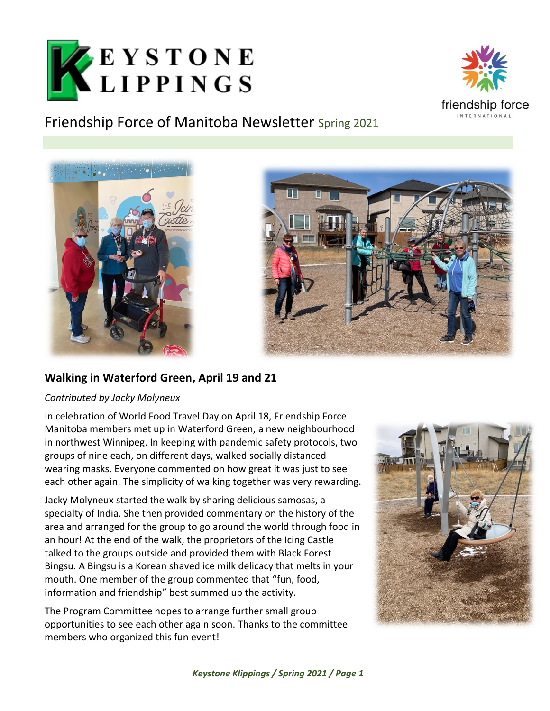



## Friendship Force of Manitoba Newsletter Spring 2021





## **Walking in Waterford Green, April 19 and 21**

#### *Contributed by Jacky Molyneux*

In celebration of World Food Travel Day on April 18, Friendship Force Manitoba members met up in Waterford Green, a new neighbourhood in northwest Winnipeg. In keeping with pandemic safety protocols, two groups of nine each, on different days, walked socially distanced wearing masks. Everyone commented on how great it was just to see each other again. The simplicity of walking together was very rewarding.

Jacky Molyneux started the walk by sharing delicious samosas, a specialty of India. She then provided commentary on the history of the area and arranged for the group to go around the world through food in an hour! At the end of the walk, the proprietors of the Icing Castle talked to the groups outside and provided them with Black Forest Bingsu. A Bingsu is a Korean shaved ice milk delicacy that melts in your mouth. One member of the group commented that "fun, food, information and friendship" best summed up the activity.

The Program Committee hopes to arrange further small group opportunities to see each other again soon. Thanks to the committee members who organized this fun event!

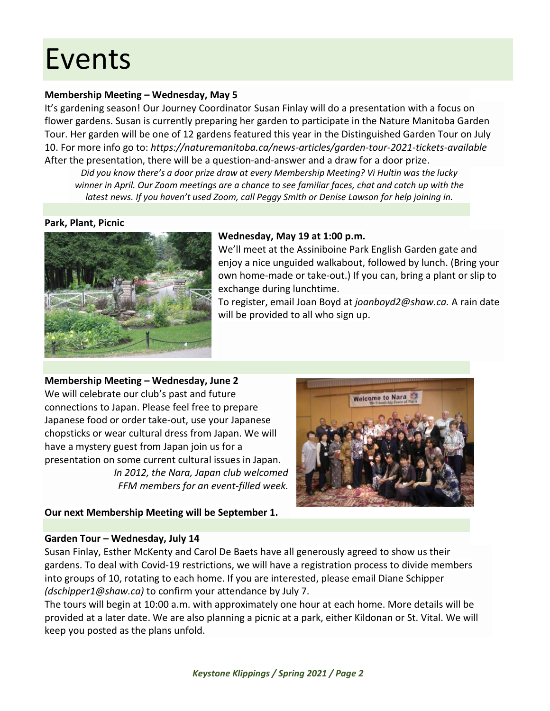## Events

#### **Membership Meeting – Wednesday, May 5**

It's gardening season! Our Journey Coordinator Susan Finlay will do a presentation with a focus on flower gardens. Susan is currently preparing her garden to participate in the Nature Manitoba Garden Tour. Her garden will be one of 12 gardens featured this year in the Distinguished Garden Tour on July 10. For more info go to: *<https://naturemanitoba.ca/news-articles/garden-tour-2021-tickets-available>* After the presentation, there will be a question-and-answer and a draw for a door prize.

*Did you know there's a door prize draw at every Membership Meeting? Vi Hultin was the lucky winner in April. Our Zoom meetings are a chance to see familiar faces, chat and catch up with the latest news. If you haven't used Zoom, call Peggy Smith or Denise Lawson for help joining in.*

#### **Park, Plant, Picnic**



#### **Wednesday, May 19 at 1:00 p.m.**

We'll meet at the Assiniboine Park English Garden gate and enjoy a nice unguided walkabout, followed by lunch. (Bring your own home-made or take-out.) If you can, bring a plant or slip to exchange during lunchtime.

To register, email Joan Boyd at *[joanboyd2@shaw.ca.](mailto:joanboyd2@shaw.ca)* A rain date will be provided to all who sign up.

**Membership Meeting – Wednesday, June 2** We will celebrate our club's past and future connections to Japan. Please feel free to prepare Japanese food or order take-out, use your Japanese chopsticks or wear cultural dress from Japan. We will have a mystery guest from Japan join us for a presentation on some current cultural issues in Japan. *In 2012, the Nara, Japan club welcomed* 

*FFM members for an event-filled week.*



#### **Our next Membership Meeting will be September 1.**

#### **Garden Tour – Wednesday, July 14**

Susan Finlay, Esther McKenty and Carol De Baets have all generously agreed to show us their gardens. To deal with Covid-19 restrictions, we will have a registration process to divide members into groups of 10, rotating to each home. If you are interested, please email Diane Schipper *[\(dschipper1@shaw.ca\)](mailto:dschipper1@shaw.ca)* to confirm your attendance by July 7.

The tours will begin at 10:00 a.m. with approximately one hour at each home. More details will be provided at a later date. We are also planning a picnic at a park, either Kildonan or St. Vital. We will keep you posted as the plans unfold.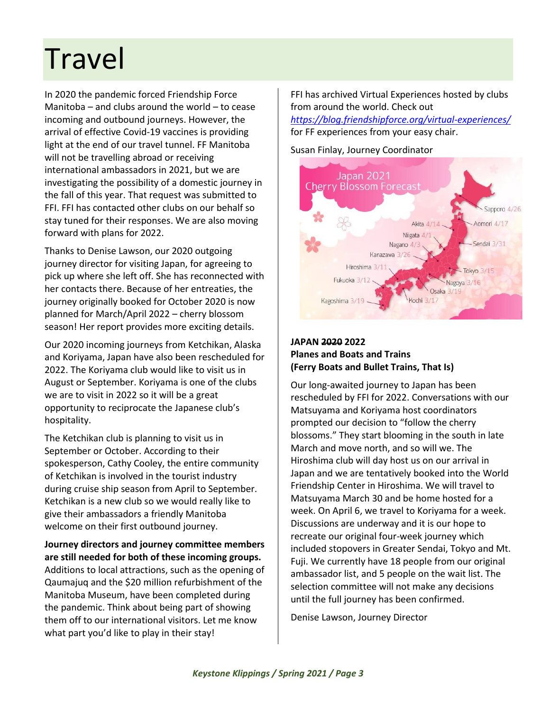## Travel

In 2020 the pandemic forced Friendship Force Manitoba – and clubs around the world – to cease incoming and outbound journeys. However, the arrival of effective Covid-19 vaccines is providing light at the end of our travel tunnel. FF Manitoba will not be travelling abroad or receiving international ambassadors in 2021, but we are investigating the possibility of a domestic journey in the fall of this year. That request was submitted to FFI. FFI has contacted other clubs on our behalf so stay tuned for their responses. We are also moving forward with plans for 2022.

Thanks to Denise Lawson, our 2020 outgoing journey director for visiting Japan, for agreeing to pick up where she left off. She has reconnected with her contacts there. Because of her entreaties, the journey originally booked for October 2020 is now planned for March/April 2022 – cherry blossom season! Her report provides more exciting details.

Our 2020 incoming journeys from Ketchikan, Alaska and Koriyama, Japan have also been rescheduled for 2022. The Koriyama club would like to visit us in August or September. Koriyama is one of the clubs we are to visit in 2022 so it will be a great opportunity to reciprocate the Japanese club's hospitality.

The Ketchikan club is planning to visit us in September or October. According to their spokesperson, Cathy Cooley, the entire community of Ketchikan is involved in the tourist industry during cruise ship season from April to September. Ketchikan is a new club so we would really like to give their ambassadors a friendly Manitoba welcome on their first outbound journey.

**Journey directors and journey committee members are still needed for both of these incoming groups.** Additions to local attractions, such as the opening of Qaumajuq and the \$20 million refurbishment of the Manitoba Museum, have been completed during the pandemic. Think about being part of showing them off to our international visitors. Let me know what part you'd like to play in their stay!

FFI has archived Virtual Experiences hosted by clubs from around the world. Check out

*<https://blog.friendshipforce.org/virtual-experiences/>* for FF experiences from your easy chair.

#### Susan Finlay, Journey Coordinator



#### **JAPAN 2020 2022 Planes and Boats and Trains (Ferry Boats and Bullet Trains, That Is)**

Our long-awaited journey to Japan has been rescheduled by FFI for 2022. Conversations with our Matsuyama and Koriyama host coordinators prompted our decision to "follow the cherry blossoms." They start blooming in the south in late March and move north, and so will we. The Hiroshima club will day host us on our arrival in Japan and we are tentatively booked into the World Friendship Center in Hiroshima. We will travel to Matsuyama March 30 and be home hosted for a week. On April 6, we travel to Koriyama for a week. Discussions are underway and it is our hope to recreate our original four-week journey which included stopovers in Greater Sendai, Tokyo and Mt. Fuji. We currently have 18 people from our original ambassador list, and 5 people on the wait list. The selection committee will not make any decisions until the full journey has been confirmed.

Denise Lawson, Journey Director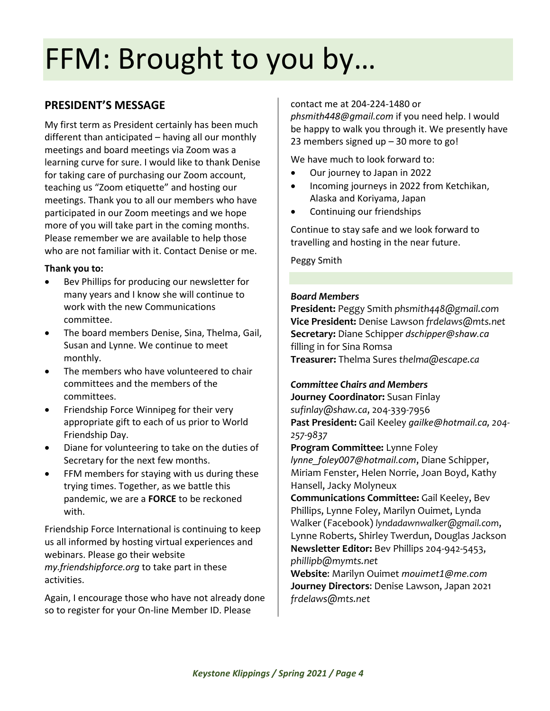# FFM: Brought to you by…

## **PRESIDENT'S MESSAGE**

My first term as President certainly has been much different than anticipated – having all our monthly meetings and board meetings via Zoom was a learning curve for sure. I would like to thank Denise for taking care of purchasing our Zoom account, teaching us "Zoom etiquette" and hosting our meetings. Thank you to all our members who have participated in our Zoom meetings and we hope more of you will take part in the coming months. Please remember we are available to help those who are not familiar with it. Contact Denise or me.

#### **Thank you to:**

- Bev Phillips for producing our newsletter for many years and I know she will continue to work with the new Communications committee.
- The board members Denise, Sina, Thelma, Gail, Susan and Lynne. We continue to meet monthly.
- The members who have volunteered to chair committees and the members of the committees.
- Friendship Force Winnipeg for their very appropriate gift to each of us prior to World Friendship Day.
- Diane for volunteering to take on the duties of Secretary for the next few months.
- FFM members for staying with us during these trying times. Together, as we battle this pandemic, we are a **FORCE** to be reckoned with.

Friendship Force International is continuing to keep us all informed by hosting virtual experiences and webinars. Please go their website *my.friendshipforce.org* to take part in these activities.

Again, I encourage those who have not already done so to register for your On-line Member ID. Please

contact me at 204-224-1480 or

*[phsmith448@gmail.com](mailto:phsmith448@gmail.com)* if you need help. I would be happy to walk you through it. We presently have 23 members signed up – 30 more to go!

We have much to look forward to:

- Our journey to Japan in 2022
- Incoming journeys in 2022 from Ketchikan, Alaska and Koriyama, Japan
- Continuing our friendships

Continue to stay safe and we look forward to travelling and hosting in the near future.

Peggy Smith

#### *Board Members*

**President:** Peggy Smith *phsmith448@gmail.com* **Vice President:** Denise Lawson *frdelaws@mts.net* **Secretary:** Diane Schipper *[dschipper@shaw.ca](mailto:dschipper@shaw.ca)* filling in for Sina Romsa **Treasurer:** Thelma Sures *thelma@escape.ca*

#### *Committee Chairs and Members*

**Journey Coordinator:** Susan Finlay *sufinlay@shaw.ca*, 204-339-7956 **Past President:** Gail Keeley *[gailke@hotmail.ca](mailto:gailke@hotmail.ca), 204- 257-9837*

**Program Committee:** Lynne Foley *[lynne\\_foley007@hotmail.com](mailto:lynne_foley007@hotmail.com)*, Diane Schipper, Miriam Fenster, Helen Norrie, Joan Boyd, Kathy Hansell, Jacky Molyneux

**Communications Committee:** Gail Keeley, Bev Phillips, Lynne Foley, Marilyn Ouimet, Lynda Walker (Facebook) *[lyndadawnwalker@gmail.com](mailto:lyndadawnwalker@gmail.com)*, Lynne Roberts, Shirley Twerdun, Douglas Jackson **Newsletter Editor:** Bev Phillips 204-942-5453, *phillipb@mymts.net*

**Website**: Marilyn Ouimet *[mouimet1@me.com](mailto:mouimet1@me.com)* **Journey Directors**: Denise Lawson, Japan 2021 *frdelaws@mts.net*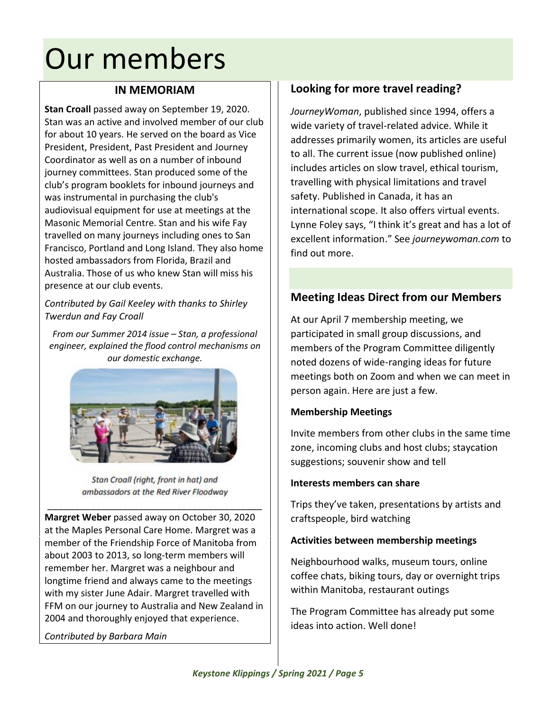## Our members

### **IN MEMORIAM**

**Stan Croall** passed away on September 19, 2020. Stan was an active and involved member of our club for about 10 years. He served on the board as Vice President, President, Past President and Journey Coordinator as well as on a number of inbound journey committees. Stan produced some of the club's program booklets for inbound journeys and was instrumental in purchasing the club's audiovisual equipment for use at meetings at the Masonic Memorial Centre. Stan and his wife Fay travelled on many journeys including ones to San Francisco, Portland and Long Island. They also home hosted ambassadors from Florida, Brazil and Australia. Those of us who knew Stan will miss his presence at our club events.

*Contributed by Gail Keeley with thanks to Shirley Twerdun and Fay Croall*

*From our Summer 2014 issue – Stan, a professional engineer, explained the flood control mechanisms on our domestic exchange.*



Stan Croall (right, front in hat) and ambassadors at the Red River Floodway

\_\_\_\_\_\_\_\_\_\_\_\_\_\_\_\_\_\_\_\_\_\_\_\_\_\_\_\_\_\_\_\_\_\_\_\_\_\_\_\_ **Margret Weber** passed away on October 30, 2020 at the Maples Personal Care Home. Margret was a member of the Friendship Force of Manitoba from about 2003 to 2013, so long-term members will remember her. Margret was a neighbour and longtime friend and always came to the meetings with my sister June Adair. Margret travelled with FFM on our journey to Australia and New Zealand in 2004 and thoroughly enjoyed that experience.

*Contributed by Barbara Main*

## **Looking for more travel reading?**

*JourneyWoman*, published since 1994, offers a wide variety of travel-related advice. While it addresses primarily women, its articles are useful to all. The current issue (now published online) includes articles on slow travel, ethical tourism, travelling with physical limitations and travel safety. Published in Canada, it has an international scope. It also offers virtual events. Lynne Foley says, "I think it's great and has a lot of excellent information." See *journeywoman.com* to find out more.

## **Meeting Ideas Direct from our Members**

At our April 7 membership meeting, we participated in small group discussions, and members of the Program Committee diligently noted dozens of wide-ranging ideas for future meetings both on Zoom and when we can meet in person again. Here are just a few.

#### **Membership Meetings**

Invite members from other clubs in the same time zone, incoming clubs and host clubs; staycation suggestions; souvenir show and tell

#### **Interests members can share**

Trips they've taken, presentations by artists and craftspeople, bird watching

#### **Activities between membership meetings**

Neighbourhood walks, museum tours, online coffee chats, biking tours, day or overnight trips within Manitoba, restaurant outings

The Program Committee has already put some ideas into action. Well done!